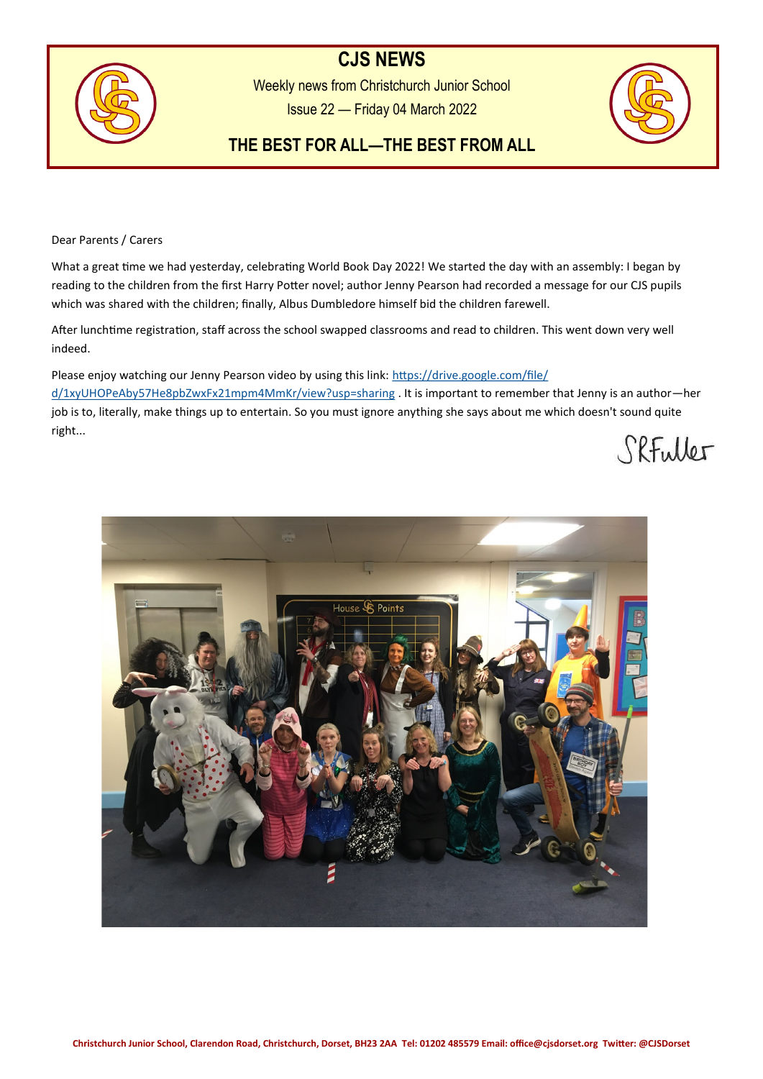# **CJS NEWS**



Weekly news from Christchurch Junior School Issue 22 — Friday 04 March 2022



## **THE BEST FOR ALL—THE BEST FROM ALL**

Dear Parents / Carers

What a great time we had yesterday, celebrating World Book Day 2022! We started the day with an assembly: I began by reading to the children from the first Harry Potter novel; author Jenny Pearson had recorded a message for our CJS pupils which was shared with the children; finally, Albus Dumbledore himself bid the children farewell.

After lunchtime registration, staff across the school swapped classrooms and read to children. This went down very well indeed.

Please enjoy watching our Jenny Pearson video by using this link: [https://drive.google.com/file/](https://drive.google.com/file/d/1xyUHOPeAby57He8pbZwxFx21mpm4MmKr/view?usp=sharing) [d/1xyUHOPeAby57He8pbZwxFx21mpm4MmKr/view?usp=sharing](https://drive.google.com/file/d/1xyUHOPeAby57He8pbZwxFx21mpm4MmKr/view?usp=sharing) . It is important to remember that Jenny is an author—her job is to, literally, make things up to entertain. So you must ignore anything she says about me which doesn't sound quite right...

SRFuller

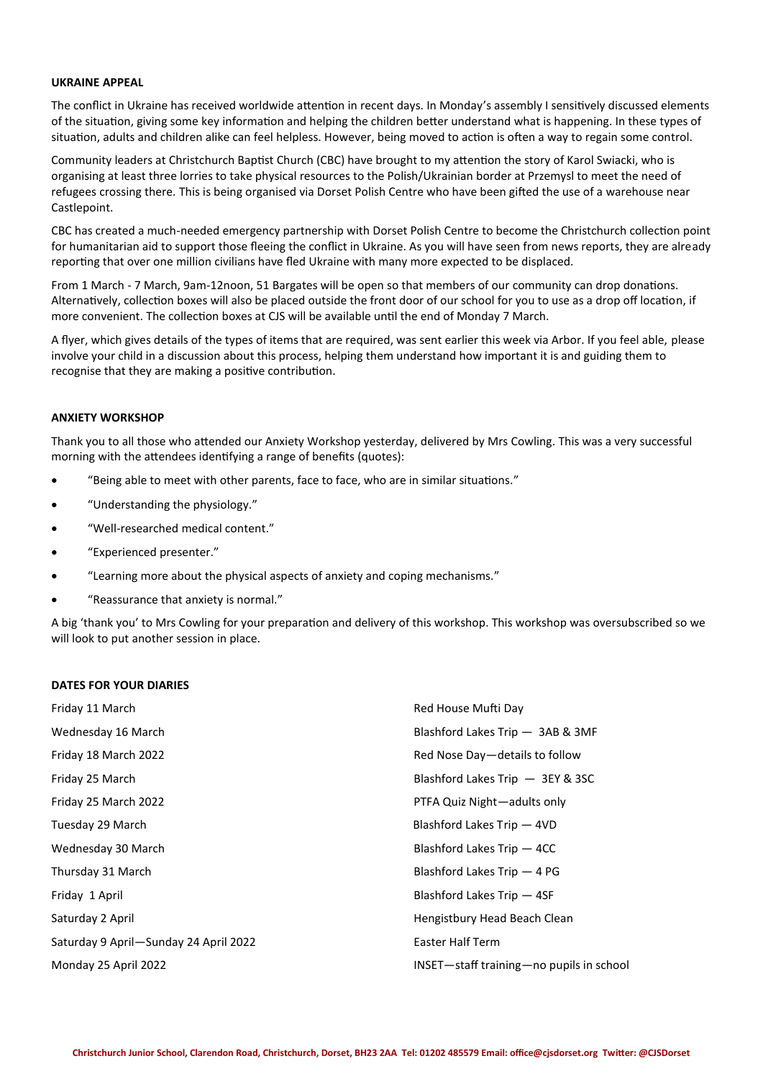#### **UKRAINE APPEAL**

The conflict in Ukraine has received worldwide attention in recent days. In Monday's assembly I sensitively discussed elements of the situation, giving some key information and helping the children better understand what is happening. In these types of situation, adults and children alike can feel helpless. However, being moved to action is often a way to regain some control.

Community leaders at Christchurch Baptist Church (CBC) have brought to my attention the story of Karol Swiacki, who is organising at least three lorries to take physical resources to the Polish/Ukrainian border at Przemysl to meet the need of refugees crossing there. This is being organised via Dorset Polish Centre who have been gifted the use of a warehouse near Castlepoint.

CBC has created a much-needed emergency partnership with Dorset Polish Centre to become the Christchurch collection point for humanitarian aid to support those fleeing the conflict in Ukraine. As you will have seen from news reports, they are already reporting that over one million civilians have fled Ukraine with many more expected to be displaced.

From 1 March - 7 March, 9am-12noon, 51 Bargates will be open so that members of our community can drop donations. Alternatively, collection boxes will also be placed outside the front door of our school for you to use as a drop off location, if more convenient. The collection boxes at CJS will be available until the end of Monday 7 March.

A flyer, which gives details of the types of items that are required, was sent earlier this week via Arbor. If you feel able, please involve your child in a discussion about this process, helping them understand how important it is and guiding them to recognise that they are making a positive contribution.

## **ANXIETY WORKSHOP**

Thank you to all those who attended our Anxiety Workshop yesterday, delivered by Mrs Cowling. This was a very successful morning with the attendees identifying a range of benefits (quotes):

- "Being able to meet with other parents, face to face, who are in similar situations."
- "Understanding the physiology."
- "Well-researched medical content."
- "Experienced presenter."
- "Learning more about the physical aspects of anxiety and coping mechanisms."
- "Reassurance that anxiety is normal."

A big 'thank you' to Mrs Cowling for your preparation and delivery of this workshop. This workshop was oversubscribed so we will look to put another session in place.

#### **DATES FOR YOUR DIARIES**

| Friday 11 March                       | Red House Mufti Day                      |
|---------------------------------------|------------------------------------------|
| Wednesday 16 March                    | Blashford Lakes Trip - 3AB & 3MF         |
| Friday 18 March 2022                  | Red Nose Day-details to follow           |
| Friday 25 March                       | Blashford Lakes Trip - 3EY & 3SC         |
| Friday 25 March 2022                  | PTFA Quiz Night-adults only              |
| Tuesday 29 March                      | Blashford Lakes Trip - 4VD               |
| Wednesday 30 March                    | Blashford Lakes Trip - 4CC               |
| Thursday 31 March                     | Blashford Lakes Trip - 4 PG              |
| Friday 1 April                        | Blashford Lakes Trip - 4SF               |
| Saturday 2 April                      | Hengistbury Head Beach Clean             |
| Saturday 9 April-Sunday 24 April 2022 | Easter Half Term                         |
| Monday 25 April 2022                  | INSET-staff training-no pupils in school |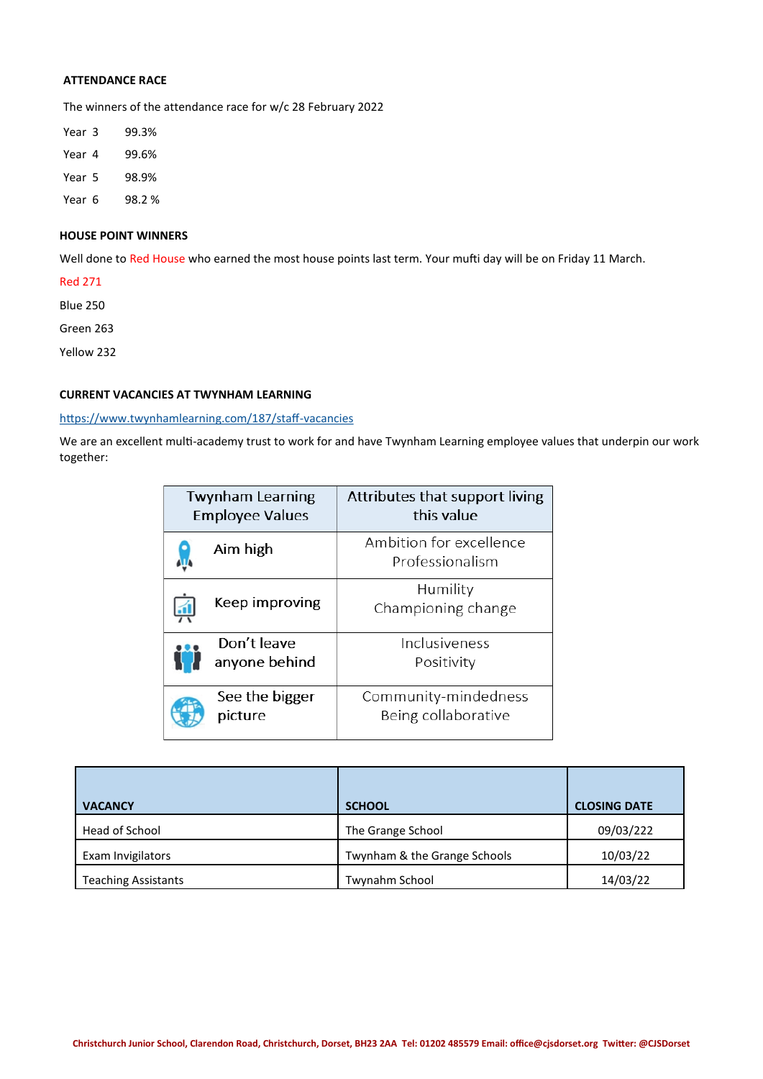## **ATTENDANCE RACE**

The winners of the attendance race for w/c 28 February 2022

| Year 3 | 99.3%  |
|--------|--------|
| Year 4 | 99.6%  |
| Year 5 | 98.9%  |
| Year 6 | 98.2 % |

## **HOUSE POINT WINNERS**

Well done to Red House who earned the most house points last term. Your mufti day will be on Friday 11 March.

Red 271

Blue 250

Green 263

Yellow 232

### **CURRENT VACANCIES AT TWYNHAM LEARNING**

## [https://www.twynhamlearning.com/187/staff](https://www.twynhamlearning.com/187/staff-vacancies)-vacancies

We are an excellent multi-academy trust to work for and have Twynham Learning employee values that underpin our work together:

| <b>Twynham Learning</b><br><b>Employee Values</b> | Attributes that support living<br>this value |
|---------------------------------------------------|----------------------------------------------|
| Aim high                                          | Ambition for excellence<br>Professionalism   |
| Keep improving                                    | Humility<br>Championing change               |
| Don't leave<br>anyone behind                      | Inclusiveness<br>Positivity                  |
| See the bigger<br>picture                         | Community-mindedness<br>Being collaborative  |

| <b>VACANCY</b>             | <b>SCHOOL</b>                | <b>CLOSING DATE</b> |
|----------------------------|------------------------------|---------------------|
| Head of School             | The Grange School            | 09/03/222           |
| Exam Invigilators          | Twynham & the Grange Schools | 10/03/22            |
| <b>Teaching Assistants</b> | Twynahm School               | 14/03/22            |